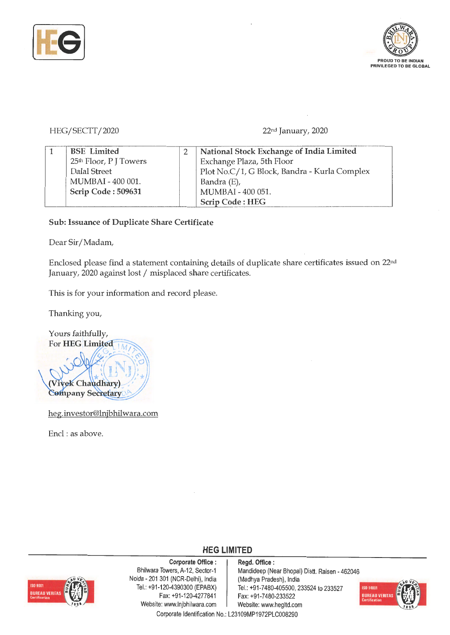



## HEG/ SECTT/2020 22nd January, 2020

| <b>BSE</b> Limited                 | National Stock Exchange of India Limited     |
|------------------------------------|----------------------------------------------|
| 25 <sup>th</sup> Floor, P J Towers | Exchange Plaza, 5th Floor                    |
| Dalal Street                       | Plot No.C/1, G Block, Bandra - Kurla Complex |
| MUMBAI - 400 001.                  | Bandra (E),                                  |
| Scrip Code: 509631                 | MUMBAI - 400 051.                            |
|                                    | Scrip Code: HEG                              |

**Sub: Issuance of Duplicate Share Certificate** 

Dear Sir/Madam,

Enclosed please find a statement containing details of duplicate share certificates issued on 22nd January, 2020 against lost / misplaced share certificates.

This is for your information and record please.

Thanking you,



heg.investor@lnjbhilwara.com

Encl : as above.



Corporate Office : | Regd. Office : Noida - 201 301 (NCR-Delhi), India (Madhya Pradesh), India<br>Tel.: +91-120-4390300 (EPABX) Tel.: +91-7480-405500, 2 Fax: +91-120-4277841 Fax: +91-7480-233522 Website: www.lnjbhilwara.com | Website: www.hegltd.com

Bhilwara Towers, A-12, Sector-1 | Mandideep (Near Bhopal) Distt. Raisen - 462046 Tel.: +91-7480-405500, 233524 to 233527



Corporate Identification No.: L23109MP1972PLC008290

**HEG LIMITED**